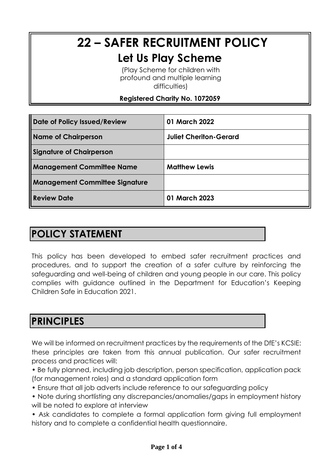# **22 – SAFER RECRUITMENT POLICY**

#### **Let Us Play Scheme**

(Play Scheme for children with profound and multiple learning difficulties)

**Registered Charity No. 1072059**

| Date of Policy Issued/Review          | 01 March 2022                 |
|---------------------------------------|-------------------------------|
| <b>Name of Chairperson</b>            | <b>Juliet Cheriton-Gerard</b> |
| <b>Signature of Chairperson</b>       |                               |
| <b>Management Committee Name</b>      | <b>Matthew Lewis</b>          |
| <b>Management Committee Signature</b> |                               |
| <b>Review Date</b>                    | 01 March 2023                 |

# **POLICY STATEMENT**

This policy has been developed to embed safer recruitment practices and procedures, and to support the creation of a safer culture by reinforcing the safeguarding and well-being of children and young people in our care. This policy complies with guidance outlined in the Department for Education's Keeping Children Safe in Education 2021.

# **PRINCIPLES**

We will be informed on recruitment practices by the requirements of the DfE's KCSIE: these principles are taken from this annual publication. Our safer recruitment process and practices will:

• Be fully planned, including job description, person specification, application pack (for management roles) and a standard application form

- Ensure that all job adverts include reference to our safeguarding policy
- Note during shortlisting any discrepancies/anomalies/gaps in employment history will be noted to explore at interview

• Ask candidates to complete a formal application form giving full employment history and to complete a confidential health questionnaire.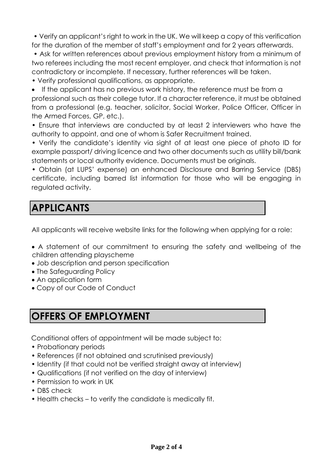• Verify an applicant's right to work in the UK. We will keep a copy of this verification for the duration of the member of staff's employment and for 2 years afterwards.

• Ask for written references about previous employment history from a minimum of two referees including the most recent employer, and check that information is not contradictory or incomplete. If necessary, further references will be taken.

• Verify professional qualifications, as appropriate.

• If the applicant has no previous work history, the reference must be from a professional such as their college tutor. If a character reference, it must be obtained from a professional (e.g. teacher, solicitor, Social Worker, Police Officer, Officer in the Armed Forces, GP, etc.).

• Ensure that interviews are conducted by at least 2 interviewers who have the authority to appoint, and one of whom is Safer Recruitment trained.

• Verify the candidate's identity via sight of at least one piece of photo ID for example passport/ driving licence and two other documents such as utility bill/bank statements or local authority evidence. Documents must be originals.

• Obtain (at LUPS' expense) an enhanced Disclosure and Barring Service (DBS) certificate, including barred list information for those who will be engaging in regulated activity.

# **APPLICANTS**

All applicants will receive website links for the following when applying for a role:

• A statement of our commitment to ensuring the safety and wellbeing of the children attending playscheme

- Job description and person specification
- The Safeguarding Policy
- An application form
- Copy of our Code of Conduct

# **OFFERS OF EMPLOYMENT**

Conditional offers of appointment will be made subject to:

- Probationary periods
- References (if not obtained and scrutinised previously)
- Identity (if that could not be verified straight away at interview)
- Qualifications (if not verified on the day of interview)
- Permission to work in UK
- DBS check
- Health checks to verify the candidate is medically fit.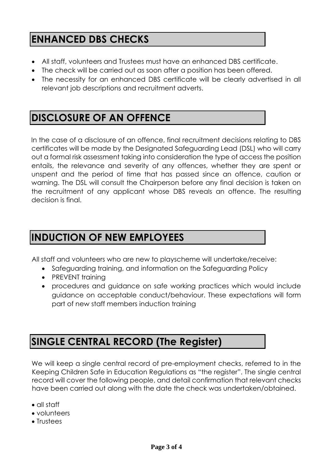#### **ENHANCED DBS CHECKS**

- All staff, volunteers and Trustees must have an enhanced DBS certificate.
- The check will be carried out as soon after a position has been offered.
- The necessity for an enhanced DBS certificate will be clearly advertised in all relevant job descriptions and recruitment adverts.

#### **DISCLOSURE OF AN OFFENCE**

In the case of a disclosure of an offence, final recruitment decisions relating to DBS certificates will be made by the Designated Safeguarding Lead (DSL) who will carry out a formal risk assessment taking into consideration the type of access the position entails, the relevance and severity of any offences, whether they are spent or unspent and the period of time that has passed since an offence, caution or warning. The DSL will consult the Chairperson before any final decision is taken on the recruitment of any applicant whose DBS reveals an offence. The resulting decision is final.

# **INDUCTION OF NEW EMPLOYEES**

All staff and volunteers who are new to playscheme will undertake/receive:

- Safeguarding training, and information on the Safeguarding Policy
- PREVENT training
- procedures and guidance on safe working practices which would include guidance on acceptable conduct/behaviour. These expectations will form part of new staff members induction training

# **SINGLE CENTRAL RECORD (The Register)**

We will keep a single central record of pre-employment checks, referred to in the Keeping Children Safe in Education Regulations as "the register". The single central record will cover the following people, and detail confirmation that relevant checks have been carried out along with the date the check was undertaken/obtained.

- all staff
- volunteers
- Trustees